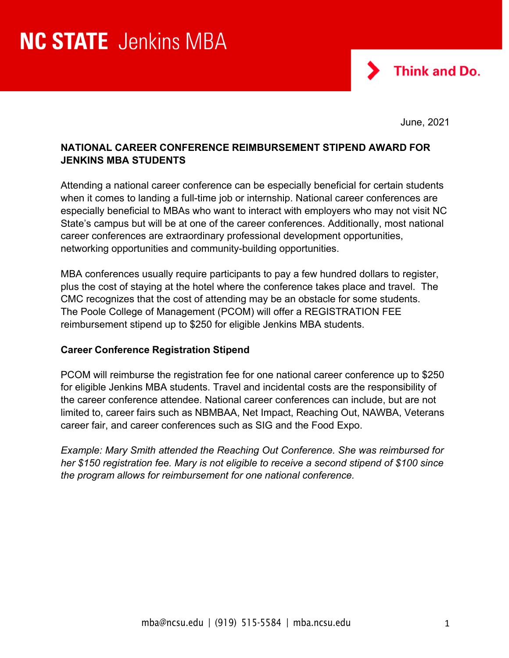

June, 2021

# **NATIONAL CAREER CONFERENCE REIMBURSEMENT STIPEND AWARD FOR JENKINS MBA STUDENTS**

Attending a national career conference can be especially beneficial for certain students when it comes to landing a full-time job or internship. National career conferences are especially beneficial to MBAs who want to interact with employers who may not visit NC State's campus but will be at one of the career conferences. Additionally, most national career conferences are extraordinary professional development opportunities, networking opportunities and community-building opportunities.

MBA conferences usually require participants to pay a few hundred dollars to register, plus the cost of staying at the hotel where the conference takes place and travel. The CMC recognizes that the cost of attending may be an obstacle for some students. The Poole College of Management (PCOM) will offer a REGISTRATION FEE reimbursement stipend up to \$250 for eligible Jenkins MBA students.

### **Career Conference Registration Stipend**

PCOM will reimburse the registration fee for one national career conference up to \$250 for eligible Jenkins MBA students. Travel and incidental costs are the responsibility of the career conference attendee. National career conferences can include, but are not limited to, career fairs such as NBMBAA, Net Impact, Reaching Out, NAWBA, Veterans career fair, and career conferences such as SIG and the Food Expo.

*Example: Mary Smith attended the Reaching Out Conference. She was reimbursed for her \$150 registration fee. Mary is not eligible to receive a second stipend of \$100 since the program allows for reimbursement for one national conference.*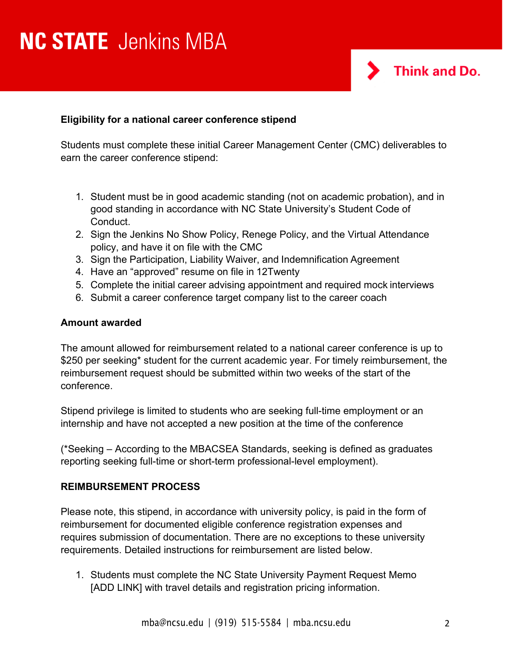# **NC STATE** Jenkins MBA



## **Eligibility for a national career conference stipend**

Students must complete these initial Career Management Center (CMC) deliverables to earn the career conference stipend:

- 1. Student must be in good academic standing (not on academic probation), and in good standing in accordance with NC State University's Student Code of Conduct.
- 2. Sign the Jenkins No Show Policy, Renege Policy, and the Virtual Attendance policy, and have it on file with the CMC
- 3. Sign the Participation, Liability Waiver, and Indemnification Agreement
- 4. Have an "approved" resume on file in 12Twenty
- 5. Complete the initial career advising appointment and required mock interviews
- 6. Submit a career conference target company list to the career coach

#### **Amount awarded**

The amount allowed for reimbursement related to a national career conference is up to \$250 per seeking\* student for the current academic year. For timely reimbursement, the reimbursement request should be submitted within two weeks of the start of the conference.

Stipend privilege is limited to students who are seeking full-time employment or an internship and have not accepted a new position at the time of the conference

(\*Seeking – According to the MBACSEA Standards, seeking is defined as graduates reporting seeking full-time or short-term professional-level employment).

### **REIMBURSEMENT PROCESS**

Please note, this stipend, in accordance with university policy, is paid in the form of reimbursement for documented eligible conference registration expenses and requires submission of documentation. There are no exceptions to these university requirements. Detailed instructions for reimbursement are listed below.

1. Students must complete the NC State University Payment Request Memo [ADD LINK] with travel details and registration pricing information.